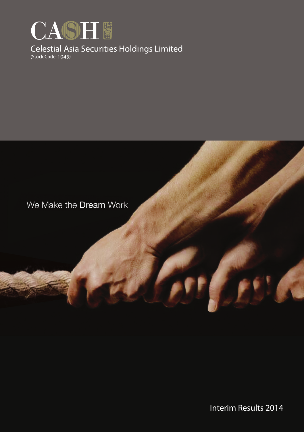

# Celestial Asia Securities Holdings Limited

## We Make the Dream Work

Interim Results 2014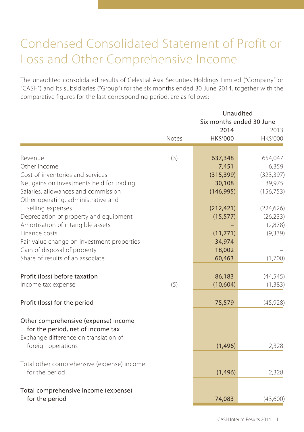## Condensed Consolidated Statement of Profit or Loss and Other Comprehensive Income

The unaudited consolidated results of Celestial Asia Securities Holdings Limited ("Company" or "CASH") and its subsidiaries ("Group") for the six months ended 30 June 2014, together with the comparative figures for the last corresponding period, are as follows:

|                                                                            | Unaudited<br>Six months ended 30 June |                         |                  |  |  |
|----------------------------------------------------------------------------|---------------------------------------|-------------------------|------------------|--|--|
|                                                                            | Notes                                 | 2014<br><b>HK\$'000</b> | 2013<br>HK\$'000 |  |  |
| Revenue                                                                    | (3)                                   | 637,348                 | 654,047          |  |  |
| Other income                                                               |                                       | 7,451                   | 6,359            |  |  |
| Cost of inventories and services                                           |                                       | (315, 399)              | (323, 397)       |  |  |
| Net gains on investments held for trading                                  |                                       | 30,108                  | 39,975           |  |  |
| Salaries, allowances and commission<br>Other operating, administrative and |                                       | (146, 995)              | (156, 753)       |  |  |
| selling expenses                                                           |                                       | (212, 421)              | (224, 626)       |  |  |
| Depreciation of property and equipment                                     |                                       | (15, 577)               | (26, 233)        |  |  |
| Amortisation of intangible assets                                          |                                       |                         | (2,878)          |  |  |
| Finance costs                                                              |                                       | (11, 771)               | (9, 339)         |  |  |
| Fair value change on investment properties                                 |                                       | 34,974                  |                  |  |  |
| Gain of disposal of property                                               |                                       | 18,002                  |                  |  |  |
| Share of results of an associate                                           |                                       | 60,463                  | (1,700)          |  |  |
| Profit (loss) before taxation                                              |                                       | 86,183                  | (44, 545)        |  |  |
| Income tax expense                                                         | (5)                                   | (10, 604)               | (1, 383)         |  |  |
| Profit (loss) for the period                                               |                                       | 75,579                  | (45, 928)        |  |  |
| Other comprehensive (expense) income<br>for the period, net of income tax  |                                       |                         |                  |  |  |
| Exchange difference on translation of<br>foreign operations                |                                       | (1, 496)                | 2,328            |  |  |
| Total other comprehensive (expense) income                                 |                                       |                         |                  |  |  |
| for the period                                                             |                                       | (1, 496)                | 2,328            |  |  |
| Total comprehensive income (expense)                                       |                                       |                         |                  |  |  |
| for the period                                                             |                                       | 74,083                  | (43,600)         |  |  |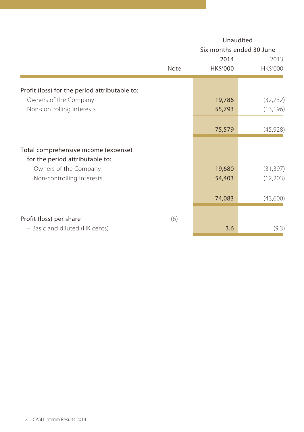|                                                                         | Unaudited<br>Six months ended 30 June |                  |                  |  |  |
|-------------------------------------------------------------------------|---------------------------------------|------------------|------------------|--|--|
|                                                                         | Note                                  | 2014<br>HK\$'000 | 2013<br>HK\$'000 |  |  |
| Profit (loss) for the period attributable to:                           |                                       |                  |                  |  |  |
| Owners of the Company                                                   |                                       | 19,786           | (32, 732)        |  |  |
| Non-controlling interests                                               |                                       | 55,793           | (13, 196)        |  |  |
|                                                                         |                                       |                  |                  |  |  |
|                                                                         |                                       | 75,579           | (45, 928)        |  |  |
| Total comprehensive income (expense)<br>for the period attributable to: |                                       |                  |                  |  |  |
| Owners of the Company                                                   |                                       | 19,680           | (31, 397)        |  |  |
| Non-controlling interests                                               |                                       | 54,403           | (12,203)         |  |  |
|                                                                         |                                       | 74,083           | (43,600)         |  |  |
| Profit (loss) per share                                                 | (6)                                   |                  |                  |  |  |
| - Basic and diluted (HK cents)                                          |                                       | 3.6              | (9.3)            |  |  |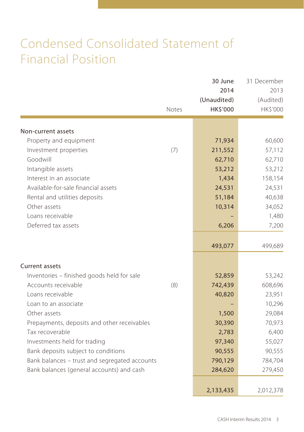## Condensed Consolidated Statement of Financial Position

|                                               | Notes | 30 June<br>2014<br>(Unaudited)<br>HK\$'000 | 31 December<br>2013<br>(Audited)<br>HK\$'000 |
|-----------------------------------------------|-------|--------------------------------------------|----------------------------------------------|
| Non-current assets                            |       |                                            |                                              |
| Property and equipment                        |       | 71,934                                     | 60,600                                       |
| Investment properties                         | (7)   | 211,552                                    | 57,112                                       |
| Goodwill                                      |       | 62,710                                     | 62,710                                       |
| Intangible assets                             |       | 53,212                                     | 53,212                                       |
| Interest in an associate                      |       | 1,434                                      | 158,154                                      |
| Available-for-sale financial assets           |       | 24,531                                     | 24,531                                       |
| Rental and utilities deposits                 |       | 51,184                                     | 40,638                                       |
| Other assets                                  |       | 10,314                                     | 34,052                                       |
| Loans receivable                              |       |                                            | 1,480                                        |
| Deferred tax assets                           |       | 6,206                                      | 7,200                                        |
|                                               |       | 493,077                                    | 499,689                                      |
| Current assets                                |       |                                            |                                              |
| Inventories - finished goods held for sale    |       | 52,859                                     | 53,242                                       |
| Accounts receivable                           | (8)   | 742,439                                    | 608,696                                      |
| Loans receivable                              |       | 40,820                                     | 23,951                                       |
| Loan to an associate                          |       |                                            | 10,296                                       |
| Other assets                                  |       | 1,500                                      | 29,084                                       |
| Prepayments, deposits and other receivables   |       | 30,390                                     | 70,973                                       |
| Tax recoverable                               |       | 2,783                                      | 6,400                                        |
| Investments held for trading                  |       | 97,340                                     | 55,027                                       |
| Bank deposits subject to conditions           |       | 90,555                                     | 90,555                                       |
| Bank balances - trust and segregated accounts |       | 790,129                                    | 784,704                                      |
| Bank balances (general accounts) and cash     |       | 284,620                                    | 279,450                                      |
|                                               |       | 2,133,435                                  | 2,012,378                                    |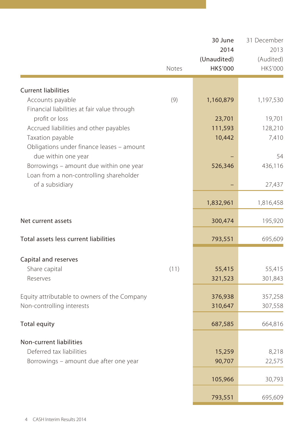|                                                | Notes | 30 June<br>2014<br>(Unaudited)<br>HK\$'000 | 31 December<br>2013<br>(Audited)<br>HK\$'000 |
|------------------------------------------------|-------|--------------------------------------------|----------------------------------------------|
|                                                |       |                                            |                                              |
| <b>Current liabilities</b><br>Accounts payable | (9)   | 1,160,879                                  | 1,197,530                                    |
| Financial liabilities at fair value through    |       |                                            |                                              |
| profit or loss                                 |       | 23,701                                     | 19,701                                       |
| Accrued liabilities and other payables         |       | 111,593                                    | 128,210                                      |
| Taxation payable                               |       | 10,442                                     | 7,410                                        |
| Obligations under finance leases - amount      |       |                                            |                                              |
| due within one year                            |       |                                            | 54                                           |
| Borrowings - amount due within one year        |       | 526,346                                    | 436,116                                      |
| Loan from a non-controlling shareholder        |       |                                            |                                              |
| of a subsidiary                                |       |                                            | 27,437                                       |
|                                                |       | 1,832,961                                  | 1,816,458                                    |
| Net current assets                             |       | 300,474                                    | 195,920                                      |
| Total assets less current liabilities          |       | 793,551                                    | 695,609                                      |
| Capital and reserves                           |       |                                            |                                              |
| Share capital                                  | (11)  | 55,415                                     | 55,415                                       |
| Reserves                                       |       | 321,523                                    | 301,843                                      |
|                                                |       |                                            |                                              |
| Equity attributable to owners of the Company   |       | 376,938                                    | 357,258                                      |
| Non-controlling interests                      |       | 310,647                                    | 307,558                                      |
| Total equity                                   |       | 687,585                                    | 664,816                                      |
|                                                |       |                                            |                                              |
| Non-current liabilities                        |       |                                            |                                              |
| Deferred tax liabilities                       |       | 15,259                                     | 8,218                                        |
| Borrowings - amount due after one year         |       | 90,707                                     | 22,575                                       |
|                                                |       | 105,966                                    | 30,793                                       |
|                                                |       | 793,551                                    | 695,609                                      |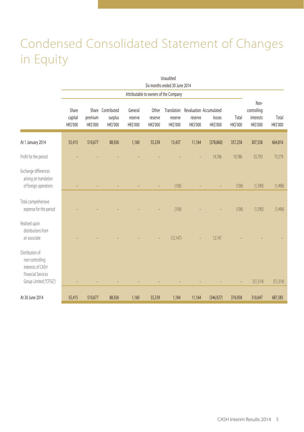## Condensed Consolidated Statement of Changes in Equity

|                                                                                                                | Unaudited<br>Six months ended 30 June 2014 |                     |                                          |                                |                              |                                    |                     |                                               |                   |                                              |                   |
|----------------------------------------------------------------------------------------------------------------|--------------------------------------------|---------------------|------------------------------------------|--------------------------------|------------------------------|------------------------------------|---------------------|-----------------------------------------------|-------------------|----------------------------------------------|-------------------|
|                                                                                                                | Attributable to owners of the Company      |                     |                                          |                                |                              |                                    |                     |                                               |                   |                                              |                   |
|                                                                                                                | Share<br>capital<br>HK\$'000               | premium<br>HK\$'000 | Share Contributed<br>surplus<br>HK\$'000 | General<br>reserve<br>HK\$'000 | Other<br>reserve<br>HK\$'000 | Translation<br>reserve<br>HK\$'000 | reserve<br>HK\$'000 | Revaluation Accumulated<br>losses<br>HK\$'000 | Total<br>HK\$'000 | Non-<br>controlling<br>interests<br>HK\$'000 | Total<br>HK\$'000 |
| At 1 January 2014                                                                                              | 55,415                                     | 510,677             | 88,926                                   | 1,160                          | 55,339                       | 13,437                             | 11,164              | (378, 860)                                    | 357,258           | 307,558                                      | 664,816           |
| Profit for the period                                                                                          |                                            |                     |                                          |                                |                              |                                    |                     | 19,786                                        | 19,786            | 55,793                                       | 75,579            |
| Exchange differences<br>arising on translation<br>of foreign operations                                        |                                            |                     |                                          |                                |                              | (106)                              |                     | ÷                                             | (106)             | (1,390)                                      | (1, 496)          |
| Total comprehensive<br>expense for the period                                                                  |                                            |                     |                                          |                                |                              | (106)                              |                     |                                               | (106)             | (1,390)                                      | (1,496)           |
| Realised upon<br>distributions from<br>an associate                                                            |                                            |                     |                                          |                                |                              | (12, 147)                          |                     | 12,147                                        |                   |                                              |                   |
| Distribution of<br>non-controlling<br>interests of CASH<br><b>Financial Services</b><br>Group Limited ("CFSG") |                                            |                     |                                          |                                |                              |                                    |                     |                                               |                   | (51, 314)                                    | (51, 314)         |
| At 30 June 2014                                                                                                | 55,415                                     | 510,677             | 88,926                                   | 1,160                          | 55,339                       | 1,184                              | 11,164              | (346, 927)                                    | 376,938           | 310,647                                      | 687,585           |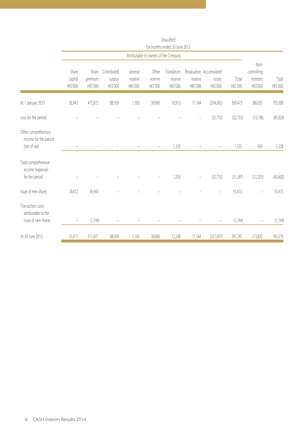|                                                                 |                              |                              |                                    |                                |                              | Unaudited<br>Six months ended 30 June 2013 |                     |                                               |                   |                                              |                   |
|-----------------------------------------------------------------|------------------------------|------------------------------|------------------------------------|--------------------------------|------------------------------|--------------------------------------------|---------------------|-----------------------------------------------|-------------------|----------------------------------------------|-------------------|
|                                                                 |                              |                              |                                    |                                |                              | Attributable to owners of the Company      |                     |                                               |                   |                                              |                   |
|                                                                 | Share<br>capital<br>HK\$'000 | Share<br>premium<br>HK\$'000 | Contributed<br>surplus<br>HK\$'000 | General<br>reserve<br>HK\$'000 | Other<br>reserve<br>HK\$'000 | Translation<br>reserve<br>HK\$'000         | reserve<br>HK\$'000 | Revaluation Accumulated<br>losses<br>HK\$'000 | Total<br>HK\$'000 | Non-<br>controlling<br>interests<br>HK\$'000 | Total<br>HK\$'000 |
| At 1 January 2013                                               | 36,943                       | 475,872                      | 88,926                             | 1,160                          | 38,860                       | 10,913                                     | 11,164              | (294, 365)                                    | 369,473           | 386,035                                      | 755,508           |
| Loss for the period                                             |                              |                              |                                    |                                |                              |                                            |                     | (32, 732)                                     | (32, 732)         | (13, 196)                                    | (45, 928)         |
| Other comprehensive<br>income for the period<br>(net of tax)    |                              |                              |                                    |                                | $\overline{\phantom{a}}$     | 1.335                                      |                     |                                               | 1,335             | 993                                          | 2,328             |
| Total comprehensive<br>income (expense)<br>for the period       |                              |                              |                                    |                                |                              | 1,335                                      |                     | (32, 732)                                     | (31, 397)         | (12,203)                                     | (43,600)          |
| Issue of new shares                                             | 18.472                       | 36,943                       |                                    |                                |                              |                                            |                     |                                               | 55,415            |                                              | 55,415            |
| Transaction costs<br>attributable to the<br>issue of new shares | -                            | (1,744)                      |                                    |                                |                              |                                            |                     |                                               | (1,744)           |                                              | (1,744)           |
| At 30 June 2013                                                 | 55,415                       | 511,071                      | 88,926                             | 1,160                          | 38,860                       | 12,248                                     | 11,164              | (327,097)                                     | 391,747           | 373,832                                      | 765,579           |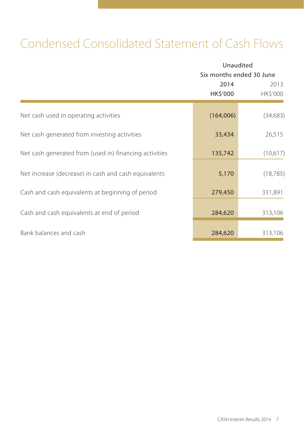## Condensed Consolidated Statement of Cash Flows

|                                                        | Unaudited<br>Six months ended 30 June |                  |  |  |
|--------------------------------------------------------|---------------------------------------|------------------|--|--|
|                                                        | 2014<br>HK\$'000                      | 2013<br>HK\$'000 |  |  |
| Net cash used in operating activities                  | (164,006)                             | (34, 683)        |  |  |
| Net cash generated from investing activities           | 33,434                                | 26,515           |  |  |
| Net cash generated from (used in) financing activities | 135,742                               | (10,617)         |  |  |
| Net increase (decrease) in cash and cash equivalents   | 5,170                                 | (18, 785)        |  |  |
| Cash and cash equivalents at beginning of period       | 279,450                               | 331,891          |  |  |
| Cash and cash equivalents at end of period             | 284,620                               | 313,106          |  |  |
| Bank balances and cash                                 | 284,620                               | 313,106          |  |  |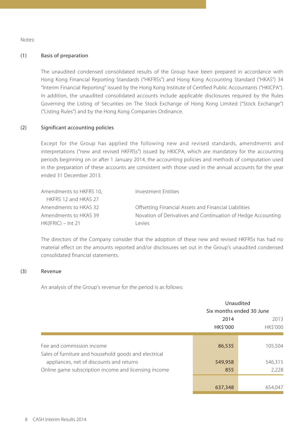Notes:

#### (1) Basis of preparation

The unaudited condensed consolidated results of the Group have been prepared in accordance with Hong Kong Financial Reporting Standards ("HKFRSs") and Hong Kong Accounting Standard ("HKAS") 34 "Interim Financial Reporting" issued by the Hong Kong Institute of Certified Public Accountants ("HKICPA"). In addition, the unaudited consolidated accounts include applicable disclosures required by the Rules Governing the Listing of Securities on The Stock Exchange of Hong Kong Limited ("Stock Exchange") ("Listing Rules") and by the Hong Kong Companies Ordinance.

#### (2) Significant accounting policies

Except for the Group has applied the following new and revised standards, amendments and interpretations ("new and revised HKFRSs") issued by HKICPA, which are mandatory for the accounting periods beginning on or after 1 January 2014, the accounting policies and methods of computation used in the preparation of these accounts are consistent with those used in the annual accounts for the year ended 31 December 2013.

| Amendments to HKFRS 10, | Investment Entities                                          |
|-------------------------|--------------------------------------------------------------|
| HKFRS 12 and HKAS 27    |                                                              |
| Amendments to HKAS 32   | Offsetting Financial Assets and Financial Liabilities        |
| Amendments to HKAS 39   | Novation of Derivatives and Continuation of Hedge Accounting |
| $HK(IFRIC) - Int 21$    | evies                                                        |

The directors of the Company consider that the adoption of these new and revised HKFRSs has had no material effect on the amounts reported and/or disclosures set out in the Group's unaudited condensed consolidated financial statements.

#### (3) Revenue

An analysis of the Group's revenue for the period is as follows:

|                                                       |          | Unaudited<br>Six months ended 30 June |  |  |
|-------------------------------------------------------|----------|---------------------------------------|--|--|
|                                                       |          |                                       |  |  |
|                                                       | 2014     | 2013                                  |  |  |
|                                                       | HK\$'000 | <b>HK\$'000</b>                       |  |  |
|                                                       |          |                                       |  |  |
| Fee and commission income                             | 86,535   | 105,504                               |  |  |
| Sales of furniture and household goods and electrical |          |                                       |  |  |
| appliances, net of discounts and returns              | 549,958  | 546,315                               |  |  |
| Online game subscription income and licensing income  | 855      | 2,228                                 |  |  |
|                                                       |          |                                       |  |  |
|                                                       | 637,348  | 654.047                               |  |  |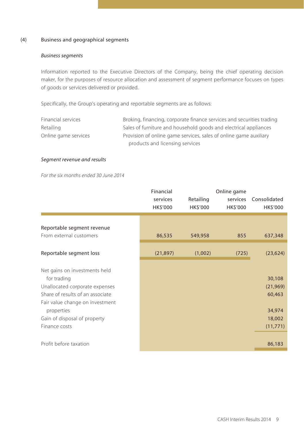#### (4) Business and geographical segments

#### *Business segments*

Information reported to the Executive Directors of the Company, being the chief operating decision maker, for the purposes of resource allocation and assessment of segment performance focuses on types of goods or services delivered or provided.

Specifically, the Group's operating and reportable segments are as follows:

| Financial services   | Broking, financing, corporate finance services and securities trading |
|----------------------|-----------------------------------------------------------------------|
| Retailing            | Sales of furniture and household goods and electrical appliances      |
| Online game services | Provision of online game services, sales of online game auxiliary     |
|                      | products and licensing services                                       |

#### *Segment revenue and results*

*For the six months ended 30 June 2014*

|                                                                                                                                                                                                                      | Financial<br>services<br>HK\$'000 | Retailing<br>HK\$'000 | Online game<br>services<br>HK\$'000 | Consolidated<br>HK\$'000                                      |
|----------------------------------------------------------------------------------------------------------------------------------------------------------------------------------------------------------------------|-----------------------------------|-----------------------|-------------------------------------|---------------------------------------------------------------|
| Reportable segment revenue<br>From external customers                                                                                                                                                                | 86,535                            | 549,958               | 855                                 | 637,348                                                       |
| Reportable segment loss                                                                                                                                                                                              | (21, 897)                         | (1,002)               | (725)                               | (23, 624)                                                     |
| Net gains on investments held<br>for trading<br>Unallocated corporate expenses<br>Share of results of an associate<br>Fair value change on investment<br>properties<br>Gain of disposal of property<br>Finance costs |                                   |                       |                                     | 30,108<br>(21,969)<br>60,463<br>34,974<br>18,002<br>(11, 771) |
| Profit before taxation                                                                                                                                                                                               |                                   |                       |                                     | 86,183                                                        |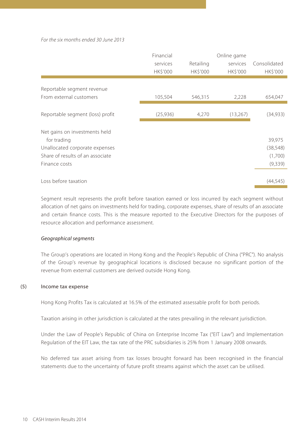#### *For the six months ended 30 June 2013*

|                                                                                                                                     | Financial<br>services<br><b>HK\$'000</b> | Retailing<br><b>HK\$'000</b> | Online game<br>services<br><b>HK\$'000</b> | Consolidated<br><b>HK\$'000</b>            |
|-------------------------------------------------------------------------------------------------------------------------------------|------------------------------------------|------------------------------|--------------------------------------------|--------------------------------------------|
| Reportable segment revenue<br>From external customers                                                                               | 105,504                                  | 546,315                      | 2,228                                      | 654,047                                    |
| Reportable segment (loss) profit                                                                                                    | (25,936)                                 | 4,270                        | (13,267)                                   | (34,933)                                   |
| Net gains on investments held<br>for trading<br>Unallocated corporate expenses<br>Share of results of an associate<br>Finance costs |                                          |                              |                                            | 39,975<br>(38, 548)<br>(1,700)<br>(9, 339) |
| Loss before taxation                                                                                                                |                                          |                              |                                            | (44, 545)                                  |

Segment result represents the profit before taxation earned or loss incurred by each segment without allocation of net gains on investments held for trading, corporate expenses, share of results of an associate and certain finance costs. This is the measure reported to the Executive Directors for the purposes of resource allocation and performance assessment.

#### *Geographical segments*

The Group's operations are located in Hong Kong and the People's Republic of China ("PRC"). No analysis of the Group's revenue by geographical locations is disclosed because no significant portion of the revenue from external customers are derived outside Hong Kong.

#### (5) Income tax expense

Hong Kong Profits Tax is calculated at 16.5% of the estimated assessable profit for both periods.

Taxation arising in other jurisdiction is calculated at the rates prevailing in the relevant jurisdiction.

Under the Law of People's Republic of China on Enterprise Income Tax ("EIT Law") and Implementation Regulation of the EIT Law, the tax rate of the PRC subsidiaries is 25% from 1 January 2008 onwards.

No deferred tax asset arising from tax losses brought forward has been recognised in the financial statements due to the uncertainty of future profit streams against which the asset can be utilised.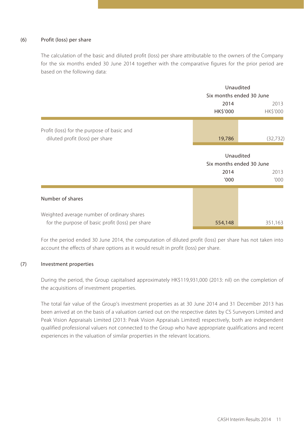#### (6) Profit (loss) per share

The calculation of the basic and diluted profit (loss) per share attributable to the owners of the Company for the six months ended 30 June 2014 together with the comparative figures for the prior period are based on the following data:

|                                                                                                |                                               | Unaudited<br>Six months ended 30 June |  |  |
|------------------------------------------------------------------------------------------------|-----------------------------------------------|---------------------------------------|--|--|
|                                                                                                | 2014<br>HK\$'000                              | 2013<br><b>HK\$'000</b>               |  |  |
| Profit (loss) for the purpose of basic and<br>diluted profit (loss) per share                  | 19,786                                        | (32, 732)                             |  |  |
|                                                                                                | Unaudited<br>Six months ended 30 June<br>2014 | 2013                                  |  |  |
| Number of shares                                                                               | '000                                          | '000'                                 |  |  |
| Weighted average number of ordinary shares<br>for the purpose of basic profit (loss) per share | 554,148                                       | 351,163                               |  |  |

For the period ended 30 June 2014, the computation of diluted profit (loss) per share has not taken into account the effects of share options as it would result in profit (loss) per share.

#### (7) Investment properties

During the period, the Group capitalised approximately HK\$119,931,000 (2013: nil) on the completion of the acquisitions of investment properties.

The total fair value of the Group's investment properties as at 30 June 2014 and 31 December 2013 has been arrived at on the basis of a valuation carried out on the respective dates by CS Surveyors Limited and Peak Vision Appraisals Limited (2013: Peak Vision Appraisals Limited) respectively, both are independent qualified professional valuers not connected to the Group who have appropriate qualifications and recent experiences in the valuation of similar properties in the relevant locations.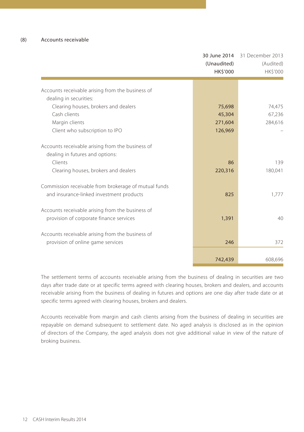|                                                                | 30 June 2014<br>(Unaudited)<br>HK\$'000 | 31 December 2013<br>(Audited)<br>HK\$'000 |
|----------------------------------------------------------------|-----------------------------------------|-------------------------------------------|
|                                                                |                                         |                                           |
| Accounts receivable arising from the business of               |                                         |                                           |
| dealing in securities:<br>Clearing houses, brokers and dealers | 75,698                                  | 74,475                                    |
| Cash clients                                                   | 45,304                                  | 67,236                                    |
| Margin clients                                                 | 271,604                                 | 284,616                                   |
| Client who subscription to IPO                                 | 126,969                                 |                                           |
|                                                                |                                         |                                           |
| Accounts receivable arising from the business of               |                                         |                                           |
| dealing in futures and options:                                |                                         |                                           |
| Clients                                                        | 86                                      | 139                                       |
| Clearing houses, brokers and dealers                           | 220,316                                 | 180,041                                   |
|                                                                |                                         |                                           |
| Commission receivable from brokerage of mutual funds           |                                         |                                           |
| and insurance-linked investment products                       | 825                                     | 1,777                                     |
|                                                                |                                         |                                           |
| Accounts receivable arising from the business of               |                                         |                                           |
| provision of corporate finance services                        | 1,391                                   | 40                                        |
|                                                                |                                         |                                           |
| Accounts receivable arising from the business of               |                                         |                                           |
| provision of online game services                              | 246                                     | 372                                       |
|                                                                |                                         |                                           |
|                                                                | 742,439                                 | 608,696                                   |

The settlement terms of accounts receivable arising from the business of dealing in securities are two days after trade date or at specific terms agreed with clearing houses, brokers and dealers, and accounts receivable arising from the business of dealing in futures and options are one day after trade date or at specific terms agreed with clearing houses, brokers and dealers.

Accounts receivable from margin and cash clients arising from the business of dealing in securities are repayable on demand subsequent to settlement date. No aged analysis is disclosed as in the opinion of directors of the Company, the aged analysis does not give additional value in view of the nature of broking business.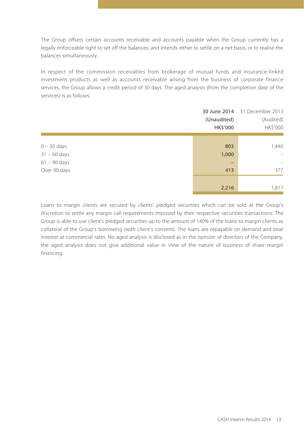The Group offsets certain accounts receivable and accounts payable when the Group currently has a legally enforceable right to set off the balances; and intends either to settle on a net basis, or to realise the balances simultaneously.

In respect of the commission receivables from brokerage of mutual funds and insurance-linked investment products as well as accounts receivable arising from the business of corporate finance services, the Group allows a credit period of 30 days. The aged analysis (from the completion date of the services) is as follows:

|                | (Unaudited)<br>HK\$'000 | 30 June 2014 31 December 2013<br>(Audited)<br>HK\$'000 |
|----------------|-------------------------|--------------------------------------------------------|
|                |                         |                                                        |
| $0 - 30$ days  | 803                     | 1,440                                                  |
| $31 - 60$ days | 1,000                   | $\overline{\phantom{m}}$                               |
| $61 - 90$ days |                         | -                                                      |
| Over 90 days   | 413                     | 377                                                    |
|                |                         |                                                        |
|                | 2,216                   | 1,817                                                  |

Loans to margin clients are secured by clients' pledged securities which can be sold at the Group's discretion to settle any margin call requirements imposed by their respective securities transactions. The Group is able to use client's pledged securities up to the amount of 140% of the loans to margin clients as collateral of the Group's borrowing (with client's consent). The loans are repayable on demand and bear interest at commercial rates. No aged analysis is disclosed as in the opinion of directors of the Company, the aged analysis does not give additional value in view of the nature of business of share margin financing.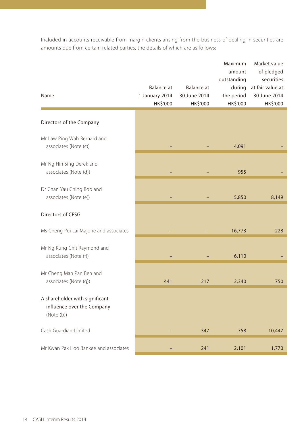Included in accounts receivable from margin clients arising from the business of dealing in securities are amounts due from certain related parties, the details of which are as follows:

|                                                                           |                              |                            | Maximum<br>amount<br>outstanding | Market value<br>of pledged<br>securities |
|---------------------------------------------------------------------------|------------------------------|----------------------------|----------------------------------|------------------------------------------|
| Name                                                                      | Balance at<br>1 January 2014 | Balance at<br>30 June 2014 | during<br>the period             | at fair value at<br>30 June 2014         |
|                                                                           | HK\$'000                     | HK\$'000                   | HK\$'000                         | HK\$'000                                 |
|                                                                           |                              |                            |                                  |                                          |
| Directors of the Company                                                  |                              |                            |                                  |                                          |
| Mr Law Ping Wah Bernard and<br>associates (Note (c))                      |                              |                            | 4,091                            |                                          |
| Mr Ng Hin Sing Derek and<br>associates (Note (d))                         |                              |                            | 955                              |                                          |
| Dr Chan Yau Ching Bob and<br>associates (Note (e))                        |                              |                            | 5,850                            | 8,149                                    |
| Directors of CFSG                                                         |                              |                            |                                  |                                          |
| Ms Cheng Pui Lai Majone and associates                                    |                              |                            | 16,773                           | 228                                      |
| Mr Ng Kung Chit Raymond and<br>associates (Note (f))                      |                              |                            | 6,110                            |                                          |
| Mr Cheng Man Pan Ben and<br>associates (Note (g))                         | 441                          | 217                        | 2,340                            | 750                                      |
| A shareholder with significant<br>influence over the Company<br>(Note(b)) |                              |                            |                                  |                                          |
| Cash Guardian Limited                                                     |                              | 347                        | 758                              | 10,447                                   |
| Mr Kwan Pak Hoo Bankee and associates                                     |                              | 241                        | 2,101                            | 1,770                                    |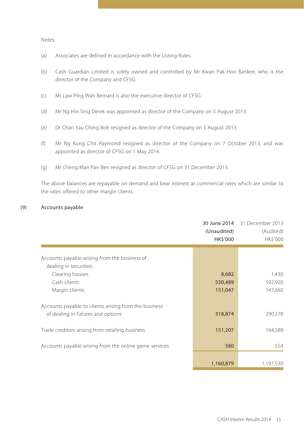Notes:

- (a) Associates are defined in accordance with the Listing Rules.
- (b) Cash Guardian Limited is solely owned and controlled by Mr Kwan Pak Hoo Bankee, who is the director of the Company and CFSG.
- (c) Mr Law Ping Wah Bernard is also the executive director of CFSG.
- (d) Mr Ng Hin Sing Derek was appointed as director of the Company on 5 August 2013.
- (e) Dr Chan Yau Ching Bob resigned as director of the Company on 5 August 2013.
- (f) Mr Ng Kung Chit Raymond resigned as director of the Company on 7 October 2013, and was appointed as director of CFSG on 1 May 2014.
- (g) Mr Cheng Man Pan Ben resigned as director of CFSG on 31 December 2013.

The above balances are repayable on demand and bear interest at commercial rates which are similar to the rates offered to other margin clients.

#### (9) Accounts payable

|                                                        | (Unaudited)<br>HK\$'000 | 30 June 2014 31 December 2013<br>(Audited)<br>HK\$'000 |
|--------------------------------------------------------|-------------------------|--------------------------------------------------------|
|                                                        |                         |                                                        |
| Accounts payable arising from the business of          |                         |                                                        |
| dealing in securities:                                 |                         |                                                        |
| Clearing houses                                        | 8,682                   | 1,430                                                  |
| Cash clients                                           | 530,489                 | 592,920                                                |
| Margin clients                                         | 151,047                 | 147,660                                                |
| Accounts payable to clients arising from the business  |                         |                                                        |
| of dealing in futures and options                      | 318,874                 | 290,378                                                |
| Trade creditors arising from retailing business        | 151,207                 | 164,588                                                |
| Accounts payable arising from the online game services | 580                     | 554                                                    |
|                                                        |                         |                                                        |
|                                                        | 1,160,879               | 1,197,530                                              |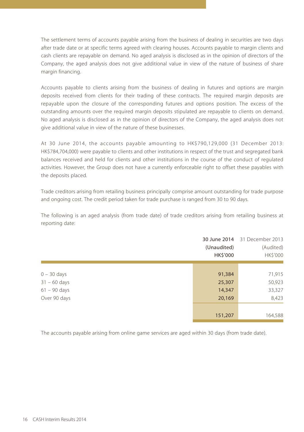The settlement terms of accounts payable arising from the business of dealing in securities are two days after trade date or at specific terms agreed with clearing houses. Accounts payable to margin clients and cash clients are repayable on demand. No aged analysis is disclosed as in the opinion of directors of the Company, the aged analysis does not give additional value in view of the nature of business of share margin financing.

Accounts payable to clients arising from the business of dealing in futures and options are margin deposits received from clients for their trading of these contracts. The required margin deposits are repayable upon the closure of the corresponding futures and options position. The excess of the outstanding amounts over the required margin deposits stipulated are repayable to clients on demand. No aged analysis is disclosed as in the opinion of directors of the Company, the aged analysis does not give additional value in view of the nature of these businesses.

At 30 June 2014, the accounts payable amounting to HK\$790,129,000 (31 December 2013: HK\$784,704,000) were payable to clients and other institutions in respect of the trust and segregated bank balances received and held for clients and other institutions in the course of the conduct of regulated activities. However, the Group does not have a currently enforceable right to offset these payables with the deposits placed.

Trade creditors arising from retailing business principally comprise amount outstanding for trade purpose and ongoing cost. The credit period taken for trade purchase is ranged from 30 to 90 days.

The following is an aged analysis (from trade date) of trade creditors arising from retailing business at reporting date:

|                | (Unaudited)<br>HK\$'000 | 30 June 2014 31 December 2013<br>(Audited)<br>HK\$'000 |
|----------------|-------------------------|--------------------------------------------------------|
|                |                         |                                                        |
| $0 - 30$ days  | 91,384                  | 71,915                                                 |
| $31 - 60$ days | 25,307                  | 50,923                                                 |
| $61 - 90$ days | 14,347                  | 33,327                                                 |
| Over 90 days   | 20,169                  | 8,423                                                  |
|                |                         |                                                        |
|                | 151,207                 | 164,588                                                |

The accounts payable arising from online game services are aged within 30 days (from trade date).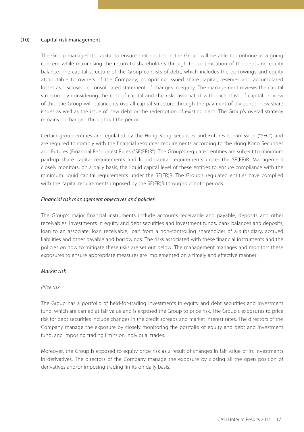#### (10) Capital risk management

The Group manages its capital to ensure that entities in the Group will be able to continue as a going concern while maximising the return to shareholders through the optimisation of the debt and equity balance. The capital structure of the Group consists of debt, which includes the borrowings and equity attributable to owners of the Company, comprising issued share capital, reserves and accumulated losses as disclosed in consolidated statement of changes in equity. The management reviews the capital structure by considering the cost of capital and the risks associated with each class of capital. In view of this, the Group will balance its overall capital structure through the payment of dividends, new share issues as well as the issue of new debt or the redemption of existing debt. The Group's overall strategy remains unchanged throughout the period.

Certain group entities are regulated by the Hong Kong Securities and Futures Commission ("SFC") and are required to comply with the financial resources requirements according to the Hong Kong Securities and Futures (Financial Resources) Rules ("SF(FR)R"). The Group's regulated entities are subject to minimum paid-up share capital requirements and liquid capital requirements under the SF(FR)R. Management closely monitors, on a daily basis, the liquid capital level of these entities to ensure compliance with the minimum liquid capital requirements under the SF(FR)R. The Group's regulated entities have complied with the capital requirements imposed by the SF(FR)R throughout both periods.

#### *Financial risk management objectives and policies*

The Group's major financial instruments include accounts receivable and payable, deposits and other receivables, investments in equity and debt securities and investment funds, bank balances and deposits, loan to an associate, loan receivable, loan from a non-controlling shareholder of a subsidiary, accrued liabilities and other payable and borrowings. The risks associated with these financial instruments and the policies on how to mitigate these risks are set out below. The management manages and monitors these exposures to ensure appropriate measures are implemented on a timely and effective manner.

#### *Market risk*

#### *Price risk*

The Group has a portfolio of held-for-trading investments in equity and debt securities and investment fund, which are carried at fair value and is exposed the Group to price risk. The Group's exposures to price risk for debt securities include changes in the credit spreads and market interest rates. The directors of the Company manage the exposure by closely monitoring the portfolio of equity and debt and investment fund, and imposing trading limits on individual trades.

Moreover, the Group is exposed to equity price risk as a result of changes in fair value of its investments in derivatives. The directors of the Company manage the exposure by closing all the open position of derivatives and/or imposing trading limits on daily basis.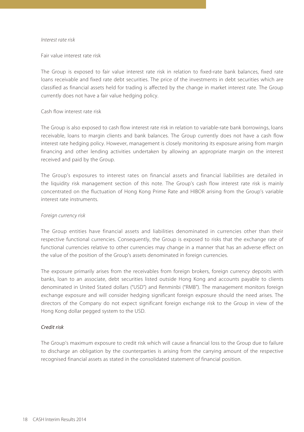#### *Interest rate risk*

Fair value interest rate risk

The Group is exposed to fair value interest rate risk in relation to fixed-rate bank balances, fixed rate loans receivable and fixed rate debt securities. The price of the investments in debt securities which are classified as financial assets held for trading is affected by the change in market interest rate. The Group currently does not have a fair value hedging policy.

#### Cash flow interest rate risk

The Group is also exposed to cash flow interest rate risk in relation to variable-rate bank borrowings, loans receivable, loans to margin clients and bank balances. The Group currently does not have a cash flow interest rate hedging policy. However, management is closely monitoring its exposure arising from margin financing and other lending activities undertaken by allowing an appropriate margin on the interest received and paid by the Group.

The Group's exposures to interest rates on financial assets and financial liabilities are detailed in the liquidity risk management section of this note. The Group's cash flow interest rate risk is mainly concentrated on the fluctuation of Hong Kong Prime Rate and HIBOR arising from the Group's variable interest rate instruments.

#### *Foreign currency risk*

The Group entities have financial assets and liabilities denominated in currencies other than their respective functional currencies. Consequently, the Group is exposed to risks that the exchange rate of functional currencies relative to other currencies may change in a manner that has an adverse effect on the value of the position of the Group's assets denominated in foreign currencies.

The exposure primarily arises from the receivables from foreign brokers, foreign currency deposits with banks, loan to an associate, debt securities listed outside Hong Kong and accounts payable to clients denominated in United Stated dollars ("USD") and Renminbi ("RMB"). The management monitors foreign exchange exposure and will consider hedging significant foreign exposure should the need arises. The directors of the Company do not expect significant foreign exchange risk to the Group in view of the Hong Kong dollar pegged system to the USD.

#### *Credit risk*

The Group's maximum exposure to credit risk which will cause a financial loss to the Group due to failure to discharge an obligation by the counterparties is arising from the carrying amount of the respective recognised financial assets as stated in the consolidated statement of financial position.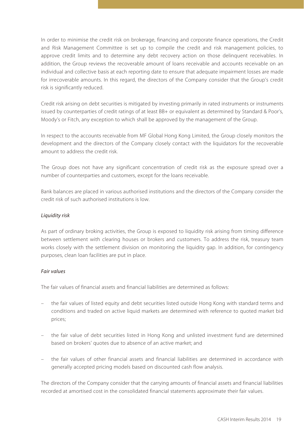In order to minimise the credit risk on brokerage, financing and corporate finance operations, the Credit and Risk Management Committee is set up to compile the credit and risk management policies, to approve credit limits and to determine any debt recovery action on those delinquent receivables. In addition, the Group reviews the recoverable amount of loans receivable and accounts receivable on an individual and collective basis at each reporting date to ensure that adequate impairment losses are made for irrecoverable amounts. In this regard, the directors of the Company consider that the Group's credit risk is significantly reduced.

Credit risk arising on debt securities is mitigated by investing primarily in rated instruments or instruments issued by counterparties of credit ratings of at least BB+ or equivalent as determined by Standard & Poor's, Moody's or Fitch, any exception to which shall be approved by the management of the Group.

In respect to the accounts receivable from MF Global Hong Kong Limited, the Group closely monitors the development and the directors of the Company closely contact with the liquidators for the recoverable amount to address the credit risk.

The Group does not have any significant concentration of credit risk as the exposure spread over a number of counterparties and customers, except for the loans receivable.

Bank balances are placed in various authorised institutions and the directors of the Company consider the credit risk of such authorised institutions is low.

#### *Liquidity risk*

As part of ordinary broking activities, the Group is exposed to liquidity risk arising from timing difference between settlement with clearing houses or brokers and customers. To address the risk, treasury team works closely with the settlement division on monitoring the liquidity gap. In addition, for contingency purposes, clean loan facilities are put in place.

#### *Fair values*

The fair values of financial assets and financial liabilities are determined as follows:

- the fair values of listed equity and debt securities listed outside Hong Kong with standard terms and conditions and traded on active liquid markets are determined with reference to quoted market bid prices;
- the fair value of debt securities listed in Hong Kong and unlisted investment fund are determined based on brokers' quotes due to absence of an active market; and
- the fair values of other financial assets and financial liabilities are determined in accordance with generally accepted pricing models based on discounted cash flow analysis.

The directors of the Company consider that the carrying amounts of financial assets and financial liabilities recorded at amortised cost in the consolidated financial statements approximate their fair values.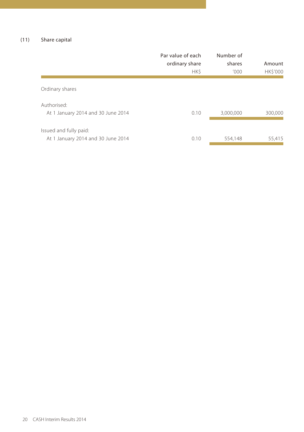#### (11) Share capital

|                                                              | Par value of each<br>ordinary share<br>HK\$ | Number of<br>shares<br>'000 | Amount<br><b>HK\$'000</b> |
|--------------------------------------------------------------|---------------------------------------------|-----------------------------|---------------------------|
| Ordinary shares                                              |                                             |                             |                           |
| Authorised:<br>At 1 January 2014 and 30 June 2014            | 0.10                                        | 3,000,000                   | 300.000                   |
| Issued and fully paid:<br>At 1 January 2014 and 30 June 2014 | 0.10                                        | 554,148                     | 55,415                    |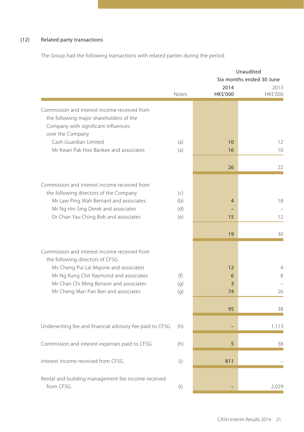### (12) Related party transactions

The Group had the following transactions with related parties during the period:

|                                                                                                                                                                                                                                                      |                   |                    | Unaudited                        |
|------------------------------------------------------------------------------------------------------------------------------------------------------------------------------------------------------------------------------------------------------|-------------------|--------------------|----------------------------------|
|                                                                                                                                                                                                                                                      |                   | 2014               | Six months ended 30 June<br>2013 |
|                                                                                                                                                                                                                                                      | <b>Notes</b>      | HK\$'000           | HK\$'000                         |
| Commission and interest income received from<br>the following major shareholders of the<br>Company with significant influences                                                                                                                       |                   |                    |                                  |
| over the Company<br>Cash Guardian Limited<br>Mr Kwan Pak Hoo Bankee and associates                                                                                                                                                                   | (a)<br>(a)        | 10<br>16           | 12<br>10                         |
|                                                                                                                                                                                                                                                      |                   | 26                 | 22                               |
| Commission and interest income received from<br>the following directors of the Company<br>Mr Law Ping Wah Bernard and associates<br>Mr Ng Hin Sing Derek and associates                                                                              | (c)<br>(b)<br>(d) | $\overline{4}$     | 18                               |
| Dr Chan Yau Ching Bob and associates                                                                                                                                                                                                                 | (e)               | 15<br>19           | 12<br>30                         |
| Commission and interest income received from<br>the following directors of CFSG<br>Ms Cheng Pui Lai Majone and associates<br>Mr Ng Kung Chit Raymond and associates<br>Mr Chan Chi Ming Benson and associates<br>Mr Cheng Man Pan Ben and associates | (f)<br>(q)<br>(q) | 12<br>6<br>3<br>74 | $\overline{4}$<br>8<br>26        |
|                                                                                                                                                                                                                                                      |                   | 95                 | 38                               |
| Underwriting fee and financial advisory fee paid to CFSG                                                                                                                                                                                             | (h)               |                    | 1,113                            |
| Commission and interest expenses paid to CFSG                                                                                                                                                                                                        | (h)               | 5                  | 38                               |
| Interest income received from CFSG                                                                                                                                                                                                                   | (i)               | 811                |                                  |
| Rental and building management fee income received<br>from CFSG                                                                                                                                                                                      | (i)               |                    | 2,029                            |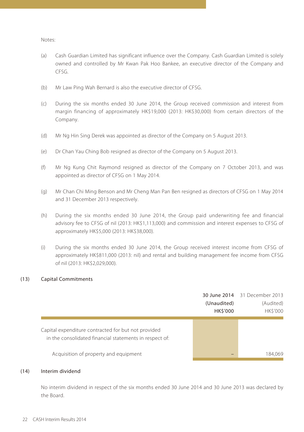Notes:

- (a) Cash Guardian Limited has significant influence over the Company. Cash Guardian Limited is solely owned and controlled by Mr Kwan Pak Hoo Bankee, an executive director of the Company and CFSG.
- (b) Mr Law Ping Wah Bernard is also the executive director of CFSG.
- (c) During the six months ended 30 June 2014, the Group received commission and interest from margin financing of approximately HK\$19,000 (2013: HK\$30,000) from certain directors of the Company.
- (d) Mr Ng Hin Sing Derek was appointed as director of the Company on 5 August 2013.
- (e) Dr Chan Yau Ching Bob resigned as director of the Company on 5 August 2013.
- (f) Mr Ng Kung Chit Raymond resigned as director of the Company on 7 October 2013, and was appointed as director of CFSG on 1 May 2014.
- (g) Mr Chan Chi Ming Benson and Mr Cheng Man Pan Ben resigned as directors of CFSG on 1 May 2014 and 31 December 2013 respectively.
- (h) During the six months ended 30 June 2014, the Group paid underwriting fee and financial advisory fee to CFSG of nil (2013: HK\$1,113,000) and commission and interest expenses to CFSG of approximately HK\$5,000 (2013: HK\$38,000).
- (i) During the six months ended 30 June 2014, the Group received interest income from CFSG of approximately HK\$811,000 (2013: nil) and rental and building management fee income from CFSG of nil (2013: HK\$2,029,000).

#### (13) Capital Commitments

|                                                         |                | 30 June 2014 31 December 2013 |
|---------------------------------------------------------|----------------|-------------------------------|
|                                                         | (Unaudited)    | (Audited)                     |
|                                                         | <b>HKS'000</b> | <b>HK\$'000</b>               |
|                                                         |                |                               |
| Capital expenditure contracted for but not provided     |                |                               |
| in the consolidated financial statements in respect of: |                |                               |
|                                                         |                |                               |
| Acquisition of property and equipment                   |                | 184.069                       |

#### (14) Interim dividend

No interim dividend in respect of the six months ended 30 June 2014 and 30 June 2013 was declared by the Board.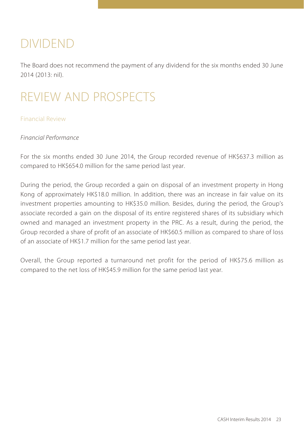## DIVIDEND

The Board does not recommend the payment of any dividend for the six months ended 30 June 2014 (2013: nil).

## REVIEW AND PROSPECTS

### Financial Review

## *Financial Performance*

For the six months ended 30 June 2014, the Group recorded revenue of HK\$637.3 million as compared to HK\$654.0 million for the same period last year.

During the period, the Group recorded a gain on disposal of an investment property in Hong Kong of approximately HK\$18.0 million. In addition, there was an increase in fair value on its investment properties amounting to HK\$35.0 million. Besides, during the period, the Group's associate recorded a gain on the disposal of its entire registered shares of its subsidiary which owned and managed an investment property in the PRC. As a result, during the period, the Group recorded a share of profit of an associate of HK\$60.5 million as compared to share of loss of an associate of HK\$1.7 million for the same period last year.

Overall, the Group reported a turnaround net profit for the period of HK\$75.6 million as compared to the net loss of HK\$45.9 million for the same period last year.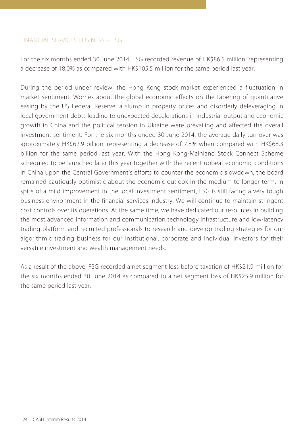### FINANCIAL SERVICES BUSINESS – FSG

For the six months ended 30 June 2014, FSG recorded revenue of HK\$86.5 million, representing a decrease of 18.0% as compared with HK\$105.5 million for the same period last year.

During the period under review, the Hong Kong stock market experienced a fluctuation in market sentiment. Worries about the global economic effects on the tapering of quantitative easing by the US Federal Reserve, a slump in property prices and disorderly deleveraging in local government debts leading to unexpected decelerations in industrial-output and economic growth in China and the political tension in Ukraine were prevailing and affected the overall investment sentiment. For the six months ended 30 June 2014, the average daily turnover was approximately HK\$62.9 billion, representing a decrease of 7.8% when compared with HK\$68.3 billion for the same period last year. With the Hong Kong-Mainland Stock Connect Scheme scheduled to be launched later this year together with the recent upbeat economic conditions in China upon the Central Government's efforts to counter the economic slowdown, the board remained cautiously optimistic about the economic outlook in the medium to longer term. In spite of a mild improvement in the local investment sentiment, FSG is still facing a very tough business environment in the financial services industry. We will continue to maintain stringent cost controls over its operations. At the same time, we have dedicated our resources in building the most advanced information and communication technology infrastructure and low-latency trading platform and recruited professionals to research and develop trading strategies for our algorithmic trading business for our institutional, corporate and individual investors for their versatile investment and wealth management needs.

As a result of the above, FSG recorded a net segment loss before taxation of HK\$21.9 million for the six months ended 30 June 2014 as compared to a net segment loss of HK\$25.9 million for the same period last year.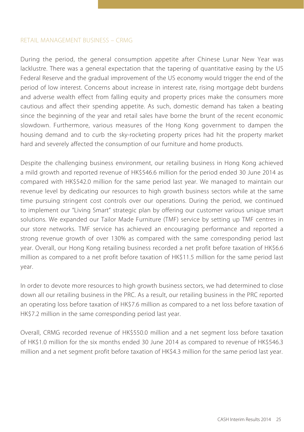### RETAIL MANAGEMENT BUSINESS – CRMG

During the period, the general consumption appetite after Chinese Lunar New Year was lacklustre. There was a general expectation that the tapering of quantitative easing by the US Federal Reserve and the gradual improvement of the US economy would trigger the end of the period of low interest. Concerns about increase in interest rate, rising mortgage debt burdens and adverse wealth effect from falling equity and property prices make the consumers more cautious and affect their spending appetite. As such, domestic demand has taken a beating since the beginning of the year and retail sales have borne the brunt of the recent economic slowdown. Furthermore, various measures of the Hong Kong government to dampen the housing demand and to curb the sky-rocketing property prices had hit the property market hard and severely affected the consumption of our furniture and home products.

Despite the challenging business environment, our retailing business in Hong Kong achieved a mild growth and reported revenue of HK\$546.6 million for the period ended 30 June 2014 as compared with HK\$542.0 million for the same period last year. We managed to maintain our revenue level by dedicating our resources to high growth business sectors while at the same time pursuing stringent cost controls over our operations. During the period, we continued to implement our "Living Smart" strategic plan by offering our customer various unique smart solutions. We expanded our Tailor Made Furniture (TMF) service by setting up TMF centres in our store networks. TMF service has achieved an encouraging performance and reported a strong revenue growth of over 130% as compared with the same corresponding period last year. Overall, our Hong Kong retailing business recorded a net profit before taxation of HK\$6.6 million as compared to a net profit before taxation of HK\$11.5 million for the same period last year.

In order to devote more resources to high growth business sectors, we had determined to close down all our retailing business in the PRC. As a result, our retailing business in the PRC reported an operating loss before taxation of HK\$7.6 million as compared to a net loss before taxation of HK\$7.2 million in the same corresponding period last year.

Overall, CRMG recorded revenue of HK\$550.0 million and a net segment loss before taxation of HK\$1.0 million for the six months ended 30 June 2014 as compared to revenue of HK\$546.3 million and a net segment profit before taxation of HK\$4.3 million for the same period last year.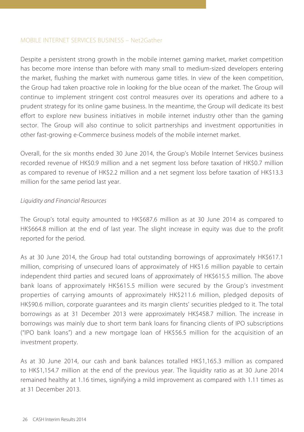### MOBILE INTERNET SERVICES BUSINESS – Net2Gather

Despite a persistent strong growth in the mobile internet gaming market, market competition has become more intense than before with many small to medium-sized developers entering the market, flushing the market with numerous game titles. In view of the keen competition, the Group had taken proactive role in looking for the blue ocean of the market. The Group will continue to implement stringent cost control measures over its operations and adhere to a prudent strategy for its online game business. In the meantime, the Group will dedicate its best effort to explore new business initiatives in mobile internet industry other than the gaming sector. The Group will also continue to solicit partnerships and investment opportunities in other fast-growing e-Commerce business models of the mobile internet market.

Overall, for the six months ended 30 June 2014, the Group's Mobile Internet Services business recorded revenue of HK\$0.9 million and a net segment loss before taxation of HK\$0.7 million as compared to revenue of HK\$2.2 million and a net segment loss before taxation of HK\$13.3 million for the same period last year.

### *Liquidity and Financial Resources*

The Group's total equity amounted to HK\$687.6 million as at 30 June 2014 as compared to HK\$664.8 million at the end of last year. The slight increase in equity was due to the profit reported for the period.

As at 30 June 2014, the Group had total outstanding borrowings of approximately HK\$617.1 million, comprising of unsecured loans of approximately of HK\$1.6 million payable to certain independent third parties and secured loans of approximately of HK\$615.5 million. The above bank loans of approximately HK\$615.5 million were secured by the Group's investment properties of carrying amounts of approximately HK\$211.6 million, pledged deposits of HK\$90.6 million, corporate guarantees and its margin clients' securities pledged to it. The total borrowings as at 31 December 2013 were approximately HK\$458.7 million. The increase in borrowings was mainly due to short term bank loans for financing clients of IPO subscriptions ("IPO bank loans") and a new mortgage loan of HK\$56.5 million for the acquisition of an investment property.

As at 30 June 2014, our cash and bank balances totalled HK\$1,165.3 million as compared to HK\$1,154.7 million at the end of the previous year. The liquidity ratio as at 30 June 2014 remained healthy at 1.16 times, signifying a mild improvement as compared with 1.11 times as at 31 December 2013.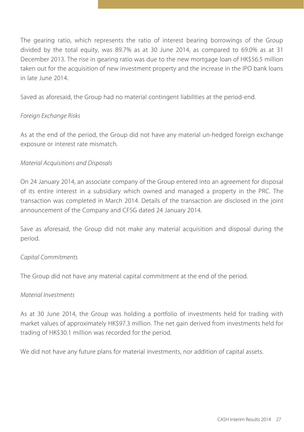The gearing ratio, which represents the ratio of interest bearing borrowings of the Group divided by the total equity, was 89.7% as at 30 June 2014, as compared to 69.0% as at 31 December 2013. The rise in gearing ratio was due to the new mortgage loan of HK\$56.5 million taken out for the acquisition of new investment property and the increase in the IPO bank loans in late June 2014.

Saved as aforesaid, the Group had no material contingent liabilities at the period-end.

## *Foreign Exchange Risks*

As at the end of the period, the Group did not have any material un-hedged foreign exchange exposure or interest rate mismatch.

## *Material Acquisitions and Disposals*

On 24 January 2014, an associate company of the Group entered into an agreement for disposal of its entire interest in a subsidiary which owned and managed a property in the PRC. The transaction was completed in March 2014. Details of the transaction are disclosed in the joint announcement of the Company and CFSG dated 24 January 2014.

Save as aforesaid, the Group did not make any material acquisition and disposal during the period.

## *Capital Commitments*

The Group did not have any material capital commitment at the end of the period.

## *Material Investments*

As at 30 June 2014, the Group was holding a portfolio of investments held for trading with market values of approximately HK\$97.3 million. The net gain derived from investments held for trading of HK\$30.1 million was recorded for the period.

We did not have any future plans for material investments, nor addition of capital assets.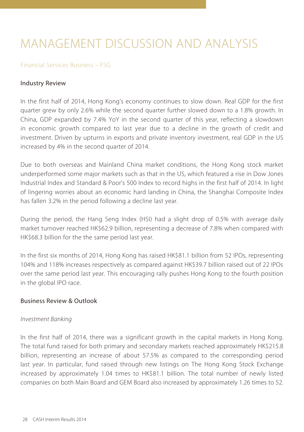## MANAGEMENT DISCUSSION AND ANALYSIS

#### Financial Services Business – FSG

#### Industry Review

In the first half of 2014, Hong Kong's economy continues to slow down. Real GDP for the first quarter grew by only 2.6% while the second quarter further slowed down to a 1.8% growth. In China, GDP expanded by 7.4% YoY in the second quarter of this year, reflecting a slowdown in economic growth compared to last year due to a decline in the growth of credit and investment. Driven by upturns in exports and private inventory investment, real GDP in the US increased by 4% in the second quarter of 2014.

Due to both overseas and Mainland China market conditions, the Hong Kong stock market underperformed some major markets such as that in the US, which featured a rise in Dow Jones Industrial Index and Standard & Poor's 500 Index to record highs in the first half of 2014. In light of lingering worries about an economic hard landing in China, the Shanghai Composite Index has fallen 3.2% in the period following a decline last year.

During the period, the Hang Seng Index (HSI) had a slight drop of 0.5% with average daily market turnover reached HK\$62.9 billion, representing a decrease of 7.8% when compared with HK\$68.3 billion for the the same period last year.

In the first six months of 2014, Hong Kong has raised HK\$81.1 billion from 52 IPOs, representing 104% and 118% increases respectively as compared against HK\$39.7 billion raised out of 22 IPOs over the same period last year. This encouraging rally pushes Hong Kong to the fourth position in the global IPO race.

## Business Review & Outlook

#### *Investment Banking*

In the first half of 2014, there was a significant growth in the capital markets in Hong Kong. The total fund raised for both primary and secondary markets reached approximately HK\$215.8 billion, representing an increase of about 57.5% as compared to the corresponding period last year. In particular, fund raised through new listings on The Hong Kong Stock Exchange increased by approximately 1.04 times to HK\$81.1 billion. The total number of newly listed companies on both Main Board and GEM Board also increased by approximately 1.26 times to 52.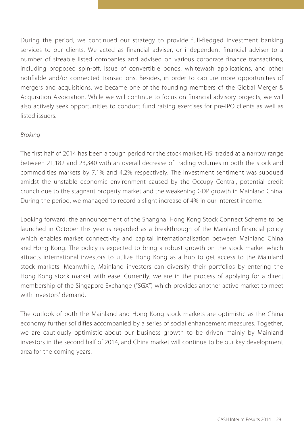During the period, we continued our strategy to provide full-fledged investment banking services to our clients. We acted as financial adviser, or independent financial adviser to a number of sizeable listed companies and advised on various corporate finance transactions, including proposed spin-off, issue of convertible bonds, whitewash applications, and other notifiable and/or connected transactions. Besides, in order to capture more opportunities of mergers and acquisitions, we became one of the founding members of the Global Merger & Acquisition Association. While we will continue to focus on financial advisory projects, we will also actively seek opportunities to conduct fund raising exercises for pre-IPO clients as well as listed issuers.

## *Broking*

The first half of 2014 has been a tough period for the stock market. HSI traded at a narrow range between 21,182 and 23,340 with an overall decrease of trading volumes in both the stock and commodities markets by 7.1% and 4.2% respectively. The investment sentiment was subdued amidst the unstable economic environment caused by the Occupy Central, potential credit crunch due to the stagnant property market and the weakening GDP growth in Mainland China. During the period, we managed to record a slight increase of 4% in our interest income.

Looking forward, the announcement of the Shanghai Hong Kong Stock Connect Scheme to be launched in October this year is regarded as a breakthrough of the Mainland financial policy which enables market connectivity and capital internationalisation between Mainland China and Hong Kong. The policy is expected to bring a robust growth on the stock market which attracts international investors to utilize Hong Kong as a hub to get access to the Mainland stock markets. Meanwhile, Mainland investors can diversify their portfolios by entering the Hong Kong stock market with ease. Currently, we are in the process of applying for a direct membership of the Singapore Exchange ("SGX") which provides another active market to meet with investors' demand.

The outlook of both the Mainland and Hong Kong stock markets are optimistic as the China economy further solidifies accompanied by a series of social enhancement measures. Together, we are cautiously optimistic about our business growth to be driven mainly by Mainland investors in the second half of 2014, and China market will continue to be our key development area for the coming years.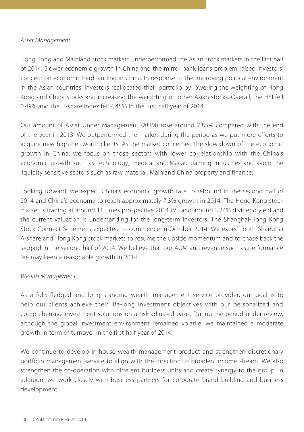#### *Asset Management*

Hong Kong and Mainland stock markets underperformed the Asian stock markets in the first half of 2014. Slower economic growth in China and the mirror bank loans problem raised investors' concern on economic hard landing in China. In response to the improving political environment in the Asian countries, investors reallocated their portfolio by lowering the weighting of Hong Kong and China stocks and increasing the weighting on other Asian stocks. Overall, the HSI fell 0.49% and the H-share index fell 4.45% in the first half year of 2014.

Our amount of Asset Under Management (AUM) rose around 7.85% compared with the end of the year in 2013. We outperformed the market during the period as we put more efforts to acquire new high-net-worth clients. As the market concerned the slow down of the economic growth in China, we focus on those sectors with lower co-relationship with the China's economic growth such as technology, medical and Macau gaming industries and avoid the liquidity sensitive sectors such as raw material, Mainland China property and finance.

Looking forward, we expect China's economic growth rate to rebound in the second half of 2014 and China's economy to reach approximately 7.3% growth in 2014. The Hong Kong stock market is trading at around 11 times prospective 2014 P/E and around 3.24% dividend yield and the current valuation is undemanding for the long-term investors. The Shanghai-Hong Kong Stock Connect Scheme is expected to commence in October 2014. We expect both Shanghai A-share and Hong Kong stock markets to resume the upside momentum and to chase back the laggard in the second half of 2014. We believe that our AUM and revenue such as performance fee may keep a reasonable growth in 2014.

### *Wealth Management*

As a fully-fledged and long standing wealth management service provider, our goal is to help our clients achieve their life-long investment objectives with our personalized and comprehensive investment solutions on a risk-adjusted basis. During the period under review, although the global investment environment remained volatile, we maintained a moderate growth in term of turnover in the first half year of 2014.

We continue to develop in-house wealth management product and strengthen discretionary portfolio management service to align with the direction to broaden income stream. We also strengthen the co-operation with different business units and create synergy to the group. In addition, we work closely with business partners for corporate brand building and business development.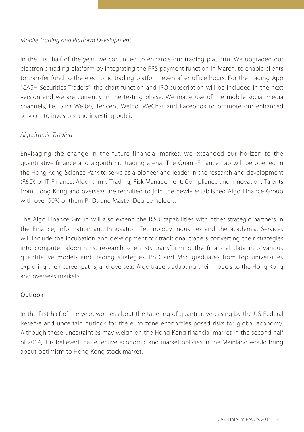### *Mobile Trading and Platform Development*

In the first half of the year, we continued to enhance our trading platform. We upgraded our electronic trading platform by integrating the PPS payment function in March, to enable clients to transfer fund to the electronic trading platform even after office hours. For the trading App "CASH Securities Traders", the chart function and IPO subscription will be included in the next version and we are currently in the testing phase. We made use of the mobile social media channels, i.e., Sina Weibo, Tencent Weibo, WeChat and Facebook to promote our enhanced services to investors and investing public.

## *Algorithmic Trading*

Envisaging the change in the future financial market, we expanded our horizon to the quantitative finance and algorithmic trading arena. The Quant-Finance Lab will be opened in the Hong Kong Science Park to serve as a pioneer and leader in the research and development (R&D) of IT-Finance, Algorithmic Trading, Risk Management, Compliance and Innovation. Talents from Hong Kong and overseas are recruited to join the newly established Algo Finance Group with over 90% of them PhDs and Master Degree holders.

The Algo Finance Group will also extend the R&D capabilities with other strategic partners in the Finance, Information and Innovation Technology industries and the academia. Services will include the incubation and development for traditional traders converting their strategies into computer algorithms, research scientists transforming the financial data into various quantitative models and trading strategies, PhD and MSc graduates from top universities exploring their career paths, and overseas Algo traders adapting their models to the Hong Kong and overseas markets.

### Outlook

In the first half of the year, worries about the tapering of quantitative easing by the US Federal Reserve and uncertain outlook for the euro zone economies posed risks for global economy. Although these uncertainties may weigh on the Hong Kong financial market in the second half of 2014, it is believed that effective economic and market policies in the Mainland would bring about optimism to Hong Kong stock market.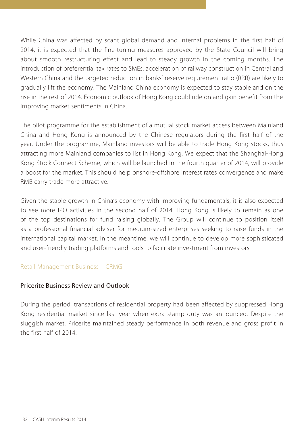While China was affected by scant global demand and internal problems in the first half of 2014, it is expected that the fine-tuning measures approved by the State Council will bring about smooth restructuring effect and lead to steady growth in the coming months. The introduction of preferential tax rates to SMEs, acceleration of railway construction in Central and Western China and the targeted reduction in banks' reserve requirement ratio (RRR) are likely to gradually lift the economy. The Mainland China economy is expected to stay stable and on the rise in the rest of 2014. Economic outlook of Hong Kong could ride on and gain benefit from the improving market sentiments in China.

The pilot programme for the establishment of a mutual stock market access between Mainland China and Hong Kong is announced by the Chinese regulators during the first half of the year. Under the programme, Mainland investors will be able to trade Hong Kong stocks, thus attracting more Mainland companies to list in Hong Kong. We expect that the Shanghai-Hong Kong Stock Connect Scheme, which will be launched in the fourth quarter of 2014, will provide a boost for the market. This should help onshore-offshore interest rates convergence and make RMB carry trade more attractive.

Given the stable growth in China's economy with improving fundamentals, it is also expected to see more IPO activities in the second half of 2014. Hong Kong is likely to remain as one of the top destinations for fund raising globally. The Group will continue to position itself as a professional financial adviser for medium-sized enterprises seeking to raise funds in the international capital market. In the meantime, we will continue to develop more sophisticated and user-friendly trading platforms and tools to facilitate investment from investors.

### Retail Management Business – CRMG

### Pricerite Business Review and Outlook

During the period, transactions of residential property had been affected by suppressed Hong Kong residential market since last year when extra stamp duty was announced. Despite the sluggish market, Pricerite maintained steady performance in both revenue and gross profit in the first half of 2014.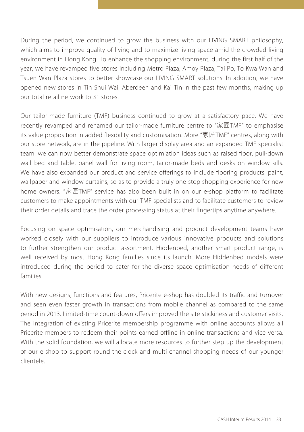During the period, we continued to grow the business with our LIVING SMART philosophy, which aims to improve quality of living and to maximize living space amid the crowded living environment in Hong Kong. To enhance the shopping environment, during the first half of the year, we have revamped five stores including Metro Plaza, Amoy Plaza, Tai Po, To Kwa Wan and Tsuen Wan Plaza stores to better showcase our LIVING SMART solutions. In addition, we have opened new stores in Tin Shui Wai, Aberdeen and Kai Tin in the past few months, making up our total retail network to 31 stores.

Our tailor-made furniture (TMF) business continued to grow at a satisfactory pace. We have recently revamped and renamed our tailor-made furniture centre to "家匠TMF" to emphasise its value proposition in added flexibility and customisation. More "家匠TMF" centres, along with our store network, are in the pipeline. With larger display area and an expanded TMF specialist team, we can now better demonstrate space optimiation ideas such as raised floor, pull-down wall bed and table, panel wall for living room, tailor-made beds and desks on window sills. We have also expanded our product and service offerings to include flooring products, paint, wallpaper and window curtains, so as to provide a truly one-stop shopping experience for new home owners. "家匠TMF" service has also been built in on our e-shop platform to facilitate customers to make appointments with our TMF specialists and to facilitate customers to review their order details and trace the order processing status at their fingertips anytime anywhere.

Focusing on space optimisation, our merchandising and product development teams have worked closely with our suppliers to introduce various innovative products and solutions to further strengthen our product assortment. Hiddenbed, another smart product range, is well received by most Hong Kong families since its launch. More Hiddenbed models were introduced during the period to cater for the diverse space optimisation needs of different families.

With new designs, functions and features, Pricerite e-shop has doubled its traffic and turnover and seen even faster growth in transactions from mobile channel as compared to the same period in 2013. Limited-time count-down offers improved the site stickiness and customer visits. The integration of existing Pricerite membership programme with online accounts allows all Pricerite members to redeem their points earned offline in online transactions and vice versa. With the solid foundation, we will allocate more resources to further step up the development of our e-shop to support round-the-clock and multi-channel shopping needs of our younger clientele.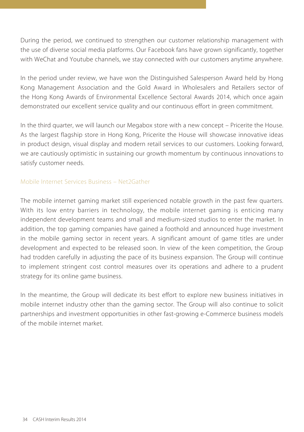During the period, we continued to strengthen our customer relationship management with the use of diverse social media platforms. Our Facebook fans have grown significantly, together with WeChat and Youtube channels, we stay connected with our customers anytime anywhere.

In the period under review, we have won the Distinguished Salesperson Award held by Hong Kong Management Association and the Gold Award in Wholesalers and Retailers sector of the Hong Kong Awards of Environmental Excellence Sectoral Awards 2014, which once again demonstrated our excellent service quality and our continuous effort in green commitment.

In the third quarter, we will launch our Megabox store with a new concept – Pricerite the House. As the largest flagship store in Hong Kong, Pricerite the House will showcase innovative ideas in product design, visual display and modern retail services to our customers. Looking forward, we are cautiously optimistic in sustaining our growth momentum by continuous innovations to satisfy customer needs.

## Mobile Internet Services Business – Net2Gather

The mobile internet gaming market still experienced notable growth in the past few quarters. With its low entry barriers in technology, the mobile internet gaming is enticing many independent development teams and small and medium-sized studios to enter the market. In addition, the top gaming companies have gained a foothold and announced huge investment in the mobile gaming sector in recent years. A significant amount of game titles are under development and expected to be released soon. In view of the keen competition, the Group had trodden carefully in adjusting the pace of its business expansion. The Group will continue to implement stringent cost control measures over its operations and adhere to a prudent strategy for its online game business.

In the meantime, the Group will dedicate its best effort to explore new business initiatives in mobile internet industry other than the gaming sector. The Group will also continue to solicit partnerships and investment opportunities in other fast-growing e-Commerce business models of the mobile internet market.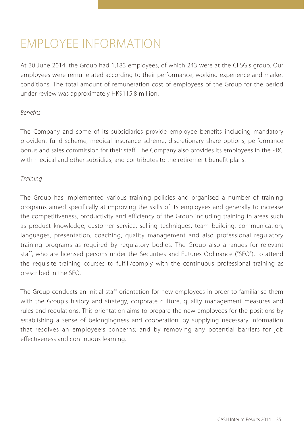## EMPLOYEE INFORMATION

At 30 June 2014, the Group had 1,183 employees, of which 243 were at the CFSG's group. Our employees were remunerated according to their performance, working experience and market conditions. The total amount of remuneration cost of employees of the Group for the period under review was approximately HK\$115.8 million.

## *Benefits*

The Company and some of its subsidiaries provide employee benefits including mandatory provident fund scheme, medical insurance scheme, discretionary share options, performance bonus and sales commission for their staff. The Company also provides its employees in the PRC with medical and other subsidies, and contributes to the retirement benefit plans.

## *Training*

The Group has implemented various training policies and organised a number of training programs aimed specifically at improving the skills of its employees and generally to increase the competitiveness, productivity and efficiency of the Group including training in areas such as product knowledge, customer service, selling techniques, team building, communication, languages, presentation, coaching, quality management and also professional regulatory training programs as required by regulatory bodies. The Group also arranges for relevant staff, who are licensed persons under the Securities and Futures Ordinance ("SFO"), to attend the requisite training courses to fulfill/comply with the continuous professional training as prescribed in the SFO.

The Group conducts an initial staff orientation for new employees in order to familiarise them with the Group's history and strategy, corporate culture, quality management measures and rules and regulations. This orientation aims to prepare the new employees for the positions by establishing a sense of belongingness and cooperation; by supplying necessary information that resolves an employee's concerns; and by removing any potential barriers for job effectiveness and continuous learning.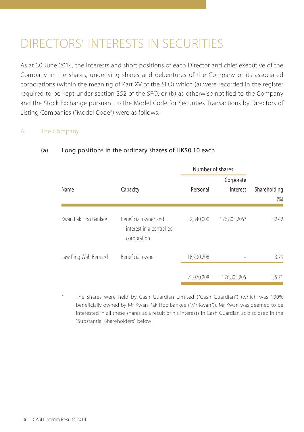## DIRECTORS' INTERESTS IN SECURITIES

As at 30 June 2014, the interests and short positions of each Director and chief executive of the Company in the shares, underlying shares and debentures of the Company or its associated corporations (within the meaning of Part XV of the SFO) which (a) were recorded in the register required to be kept under section 352 of the SFO; or (b) as otherwise notified to the Company and the Stock Exchange pursuant to the Model Code for Securities Transactions by Directors of Listing Companies ("Model Code") were as follows:

## A. The Company

|                      |                                                                 | Number of shares |                       |                         |
|----------------------|-----------------------------------------------------------------|------------------|-----------------------|-------------------------|
| Name                 | Capacity                                                        | Personal         | Corporate<br>interest | Shareholding<br>$(\% )$ |
| Kwan Pak Hoo Bankee  | Beneficial owner and<br>interest in a controlled<br>corporation | 2,840,000        | 176,805,205*          | 32.42                   |
| Law Ping Wah Bernard | Beneficial owner                                                | 18,230,208       |                       | 3.29                    |
|                      |                                                                 | 21,070,208       | 176,805,205           | 35.71                   |

## (a) Long positions in the ordinary shares of HK\$0.10 each

The shares were held by Cash Guardian Limited ("Cash Guardian") (which was 100% beneficially owned by Mr Kwan Pak Hoo Bankee ("Mr Kwan")). Mr Kwan was deemed to be interested in all these shares as a result of his interests in Cash Guardian as disclosed in the "Substantial Shareholders" below.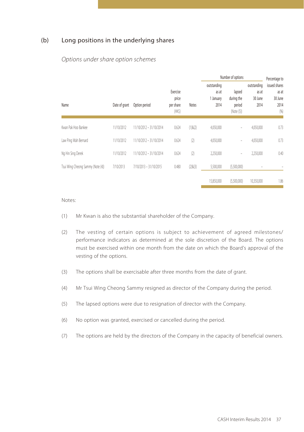### (b) Long positions in the underlying shares

### *Options under share option schemes*

|                                   |               |                                                                    |                                           |                                              |                                         | Number of options                                 |            | Percentage to |
|-----------------------------------|---------------|--------------------------------------------------------------------|-------------------------------------------|----------------------------------------------|-----------------------------------------|---------------------------------------------------|------------|---------------|
| Name                              | Date of grant | Exercise<br>price<br>Option period<br>Notes<br>per share<br>$(HK\$ | outstanding<br>as at<br>1 January<br>2014 | lapsed<br>during the<br>period<br>(Note (5)) | outstanding<br>as at<br>30 June<br>2014 | issued shares<br>as at<br>30 June<br>2014<br>(96) |            |               |
| Kwan Pak Hoo Bankee               | 11/10/2012    | 11/10/2012 - 31/10/2014                                            | 0.624                                     | $(1)$ & $(2)$                                | 4,050,000                               |                                                   | 4,050,000  | 0.73          |
| Law Ping Wah Bernard              | 11/10/2012    | 11/10/2012 - 31/10/2014                                            | 0.624                                     | (2)                                          | 4,050,000                               | $\overline{\phantom{a}}$                          | 4,050,000  | 0.73          |
| Ng Hin Sing Derek                 | 11/10/2012    | 11/10/2012 - 31/10/2014                                            | 0.624                                     | (2)                                          | 2,250,000                               | $\overline{\phantom{a}}$                          | 2,250,000  | 0.40          |
| Tsui Wing Cheong Sammy (Note (4)) | 7/10/2013     | 7/10/2013 - 31/10/2015                                             | 0.480                                     | $(2)$ & $(3)$                                | 5,500,000                               | (5,500,000)                                       | ۰          |               |
|                                   |               |                                                                    |                                           |                                              | 15.850.000                              | (5,500,000)                                       | 10.350.000 | 1.86          |

#### Notes:

- (1) Mr Kwan is also the substantial shareholder of the Company.
- (2) The vesting of certain options is subject to achievement of agreed milestones/ performance indicators as determined at the sole discretion of the Board. The options must be exercised within one month from the date on which the Board's approval of the vesting of the options.
- (3) The options shall be exercisable after three months from the date of grant.
- (4) Mr Tsui Wing Cheong Sammy resigned as director of the Company during the period.
- (5) The lapsed options were due to resignation of director with the Company.
- (6) No option was granted, exercised or cancelled during the period.
- (7) The options are held by the directors of the Company in the capacity of beneficial owners.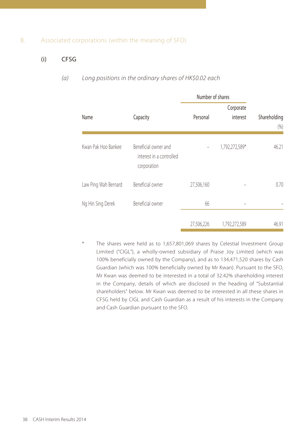### B. Associated corporations (within the meaning of SFO)

## (i) CFSG

### *(a) Long positions in the ordinary shares of HK\$0.02 each*

|                      |                                                                 | Number of shares |                |                     |
|----------------------|-----------------------------------------------------------------|------------------|----------------|---------------------|
|                      |                                                                 |                  | Corporate      |                     |
| Name                 | Capacity                                                        | Personal         | interest       | Shareholding<br>(%) |
|                      |                                                                 |                  |                |                     |
| Kwan Pak Hoo Bankee  | Beneficial owner and<br>interest in a controlled<br>corporation |                  | 1,792,272,589* | 46.21               |
| Law Ping Wah Bernard | Beneficial owner                                                | 27,506,160       |                | 0.70                |
| Ng Hin Sing Derek    | Beneficial owner                                                | 66               |                |                     |
|                      |                                                                 | 27,506,226       | 1,792,272,589  | 46.91               |

The shares were held as to 1,657,801,069 shares by Celestial Investment Group Limited ("CIGL"), a wholly-owned subsidiary of Praise Joy Limited (which was 100% beneficially owned by the Company), and as to 134,471,520 shares by Cash Guardian (which was 100% beneficially owned by Mr Kwan). Pursuant to the SFO, Mr Kwan was deemed to be interested in a total of 32.42% shareholding interest in the Company, details of which are disclosed in the heading of "Substantial shareholders" below. Mr Kwan was deemed to be interested in all these shares in CFSG held by CIGL and Cash Guardian as a result of his interests in the Company and Cash Guardian pursuant to the SFO.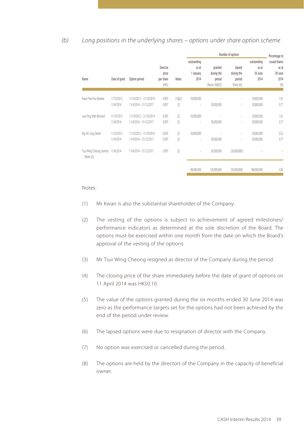#### *(b) Long positions in the underlying shares – options under share option scheme*

|                                      |                         |                                                   |                                         |                      | Number of options                                                                                            |                                                    |                                                                                                                            | Percentage to                           |                                                  |
|--------------------------------------|-------------------------|---------------------------------------------------|-----------------------------------------|----------------------|--------------------------------------------------------------------------------------------------------------|----------------------------------------------------|----------------------------------------------------------------------------------------------------------------------------|-----------------------------------------|--------------------------------------------------|
| Name                                 | Date of grant           | Option period                                     | Exercise<br>price<br>per share<br>(HKS) | Notes                | outstanding<br>as at<br>1 January<br>2014                                                                    | granted<br>during the<br>period<br>(Notes (4)&(5)) | lapsed<br>during the<br>period<br>(Note (6))                                                                               | outstanding<br>as at<br>30 June<br>2014 | issued shares<br>as at<br>30 June<br>2014<br>(%) |
| Kwan Pak Hoo Bankee                  | 11/10/2012<br>11/4/2014 | 11/10/2012 - 31/10/2014<br>11/4/2014 - 31/12/2017 | 0.093<br>0.097                          | $(1)$ & $(2)$<br>(2) | 39,000,000<br>$\frac{1}{2} \left( \frac{1}{2} \right) \left( \frac{1}{2} \right) \left( \frac{1}{2} \right)$ | 30,000,000                                         | $\overline{\phantom{0}}$<br>$\frac{1}{2} \left( \frac{1}{2} \right) \left( \frac{1}{2} \right) \left( \frac{1}{2} \right)$ | 39,000,000<br>30,000,000                | 1.01<br>0.77                                     |
| Law Ping Wah Bernard                 | 11/10/2012<br>11/4/2014 | 11/10/2012 - 31/10/2014<br>11/4/2014 - 31/12/2017 | 0.093<br>0.097                          | (2)<br>(2)           | 39,000,000<br>×                                                                                              | 30,000,000                                         | $\overline{a}$<br>$\frac{1}{2} \left( \frac{1}{2} \right) \left( \frac{1}{2} \right) \left( \frac{1}{2} \right)$           | 39,000,000<br>30,000,000                | 1.01<br>0.77                                     |
| Ng Hin Sing Derek                    | 11/10/2012<br>11/4/2014 | 11/10/2012 - 31/10/2014<br>11/4/2014 - 31/12/2017 | 0.093<br>0.097                          | (2)<br>(2)           | 20,000,000<br>$\overline{a}$                                                                                 | 30,000,000                                         | $\overline{a}$<br>÷,                                                                                                       | 20,000,000<br>30,000,000                | 0.52<br>0.77                                     |
| Tsui Wing Cheong Sammy<br>(Note (3)) | 11/4/2014               | 11/4/2014 - 31/12/2017                            | 0.097                                   | (2)                  | $\frac{1}{2} \left( \frac{1}{2} \right) \left( \frac{1}{2} \right) \left( \frac{1}{2} \right)$               | 30,000,000                                         | (30,000,000)                                                                                                               |                                         |                                                  |
|                                      |                         |                                                   |                                         |                      | 98,000,000                                                                                                   | 120,000,000                                        | (30,000,000)                                                                                                               | 188,000,000                             | 4.85                                             |

Notes:

- (1) Mr Kwan is also the substantial shareholder of the Company.
- (2) The vesting of the options is subject to achievement of agreed milestones/ performance indicators as determined at the sole discretion of the Board. The options must be exercised within one month from the date on which the Board's approval of the vesting of the options.
- (3) Mr Tsui Wing Cheong resigned as director of the Company during the period.
- (4) The closing price of the share immediately before the date of grant of options on 11 April 2014 was HK\$0.10.
- (5) The value of the options granted during the six months ended 30 June 2014 was zero as the performance targets set for the options had not been achieved by the end of the period under review.
- (6) The lapsed options were due to resignation of director with the Company.
- (7) No option was exercised or cancelled during the period.
- (8) The options are held by the directors of the Company in the capacity of beneficial owner.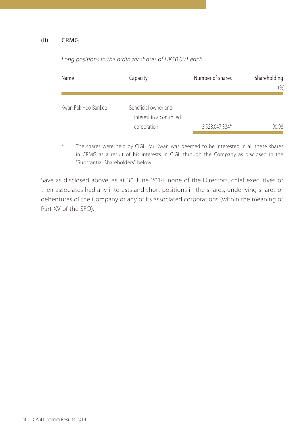#### (ii) CRMG

| Name                | Capacity                                                        | Number of shares | Shareholding<br>$(\% )$ |
|---------------------|-----------------------------------------------------------------|------------------|-------------------------|
| Kwan Pak Hoo Bankee | Beneficial owner and<br>interest in a controlled<br>corporation | 3,528,047,334*   | 90.98                   |

*Long positions in the ordinary shares of HK\$0.001 each*

\* The shares were held by CIGL. Mr Kwan was deemed to be interested in all these shares in CRMG as a result of his interests in CIGL through the Company as disclosed in the "Substantial Shareholders" below.

Save as disclosed above, as at 30 June 2014, none of the Directors, chief executives or their associates had any interests and short positions in the shares, underlying shares or debentures of the Company or any of its associated corporations (within the meaning of Part XV of the SFO).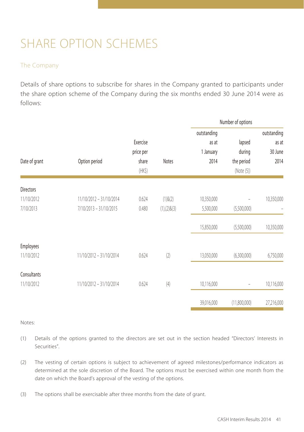## SHARE OPTION SCHEMES

## The Company

Details of share options to subscribe for shares in the Company granted to participants under the share option scheme of the Company during the six months ended 30 June 2014 were as follows:

|                  |                         |             |                    |             | Number of options                            |                          |
|------------------|-------------------------|-------------|--------------------|-------------|----------------------------------------------|--------------------------|
|                  |                         |             |                    | outstanding |                                              | outstanding              |
|                  |                         | Exercise    |                    | as at       | lapsed<br>during<br>the period<br>(Note (5)) | as at<br>30 June<br>2014 |
|                  |                         | price per   |                    | 1 January   |                                              |                          |
| Date of grant    | Option period           | share       | <b>Notes</b>       | 2014        |                                              |                          |
|                  |                         | $(HK\zeta)$ |                    |             |                                              |                          |
| <b>Directors</b> |                         |             |                    |             |                                              |                          |
| 11/10/2012       | 11/10/2012 - 31/10/2014 | 0.624       | $(1)$ & $(2)$      | 10,350,000  |                                              | 10,350,000               |
| 7/10/2013        | 7/10/2013 - 31/10/2015  | 0.480       | $(1), (2)$ & $(3)$ | 5,500,000   | (5,500,000)                                  |                          |
|                  |                         |             |                    | 15,850,000  | (5,500,000)                                  | 10,350,000               |
| Employees        |                         |             |                    |             |                                              |                          |
| 11/10/2012       | 11/10/2012 - 31/10/2014 | 0.624       | (2)                | 13,050,000  | (6,300,000)                                  | 6,750,000                |
| Consultants      |                         |             |                    |             |                                              |                          |
| 11/10/2012       | 11/10/2012 - 31/10/2014 | 0.624       | (4)                | 10,116,000  | -                                            | 10,116,000               |
|                  |                         |             |                    | 39,016,000  | (11,800,000)                                 | 27,216,000               |

Notes:

- (1) Details of the options granted to the directors are set out in the section headed "Directors' Interests in Securities".
- (2) The vesting of certain options is subject to achievement of agreed milestones/performance indicators as determined at the sole discretion of the Board. The options must be exercised within one month from the date on which the Board's approval of the vesting of the options.
- (3) The options shall be exercisable after three months from the date of grant.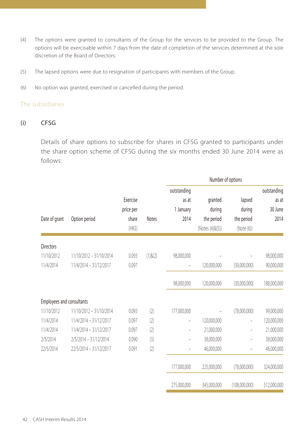- (4) The options were granted to consultants of the Group for the services to be provided to the Group. The options will be exercisable within 7 days from the date of completion of the services determined at the sole discretion of the Board of Directors.
- (5) The lapsed options were due to resignation of participants with members of the Group.
- (6) No option was granted, exercised or cancelled during the period.

#### The subsidiaries

#### (i) CFSG

Details of share options to subscribe for shares in CFSG granted to participants under the share option scheme of CFSG during the six months ended 30 June 2014 were as follows:

|                                         | Number of options       |           |               |                          |                               |                          |             |
|-----------------------------------------|-------------------------|-----------|---------------|--------------------------|-------------------------------|--------------------------|-------------|
|                                         |                         |           |               | outstanding              |                               |                          | outstanding |
|                                         |                         | Exercise  |               | as at                    | granted                       | lapsed                   | as at       |
|                                         |                         | price per |               | 1 January                | during                        | during                   | 30 June     |
| Date of grant                           | Option period           | share     | <b>Notes</b>  | 2014                     | the period<br>(Notes (4)&(5)) | the period<br>(Note (6)) | 2014        |
|                                         |                         | $(HK\$    |               |                          |                               |                          |             |
| <b>Directors</b>                        |                         |           |               |                          |                               |                          |             |
| 11/10/2012                              | 11/10/2012 - 31/10/2014 | 0.093     | $(1)$ & $(2)$ | 98,000,000               |                               |                          | 98,000,000  |
| 11/4/2014                               | 11/4/2014 - 31/12/2017  | 0.097     |               |                          | 120,000,000                   | (30,000,000)             | 90,000,000  |
|                                         |                         |           |               | 98,000,000               | 120,000,000                   | (30,000,000)             | 188,000,000 |
|                                         |                         |           |               |                          |                               |                          |             |
| Employees and consultants<br>11/10/2012 | 11/10/2012 - 31/10/2014 | 0.093     | (2)           | 177,000,000              |                               | (78,000,000)             |             |
| 11/4/2014                               | 11/4/2014 - 31/12/2017  | 0.097     |               |                          |                               |                          | 99,000,000  |
|                                         |                         |           | (2)           | $\overline{\phantom{0}}$ | 120,000,000                   | $\overline{\phantom{0}}$ | 120,000,000 |
| 11/4/2014                               | 11/4/2014 - 31/12/2017  | 0.097     | (2)           | -                        | 21,000,000                    | $\qquad \qquad -$        | 21,000,000  |
| 2/5/2014                                | 2/5/2014 - 31/12/2014   | 0.090     | (3)           |                          | 38,000,000                    | $\qquad \qquad -$        | 38,000,000  |
| 22/5/2014                               | 22/5/2014 - 31/12/2017  | 0.091     | (2)           |                          | 46,000,000                    |                          | 46,000,000  |
|                                         |                         |           |               | 177,000,000              | 225,000,000                   | (78,000,000)             | 324,000,000 |
|                                         |                         |           |               | 275.000.000              | 345,000,000                   | (108,000,000)            | 512,000,000 |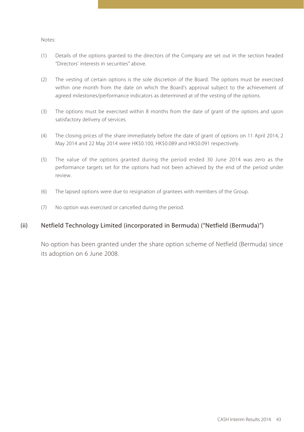#### Notes:

- (1) Details of the options granted to the directors of the Company are set out in the section headed "Directors' interests in securities" above.
- (2) The vesting of certain options is the sole discretion of the Board. The options must be exercised within one month from the date on which the Board's approval subject to the achievement of agreed milestones/performance indicators as determined at of the vesting of the options.
- (3) The options must be exercised within 8 months from the date of grant of the options and upon satisfactory delivery of services.
- (4) The closing prices of the share immediately before the date of grant of options on 11 April 2014, 2 May 2014 and 22 May 2014 were HK\$0.100, HK\$0.089 and HK\$0.091 respectively.
- (5) The value of the options granted during the period ended 30 June 2014 was zero as the performance targets set for the options had not been achieved by the end of the period under review.
- (6) The lapsed options were due to resignation of grantees with members of the Group.
- (7) No option was exercised or cancelled during the period.

### (ii) Netfield Technology Limited (incorporated in Bermuda) ("Netfield (Bermuda)")

No option has been granted under the share option scheme of Netfield (Bermuda) since its adoption on 6 June 2008.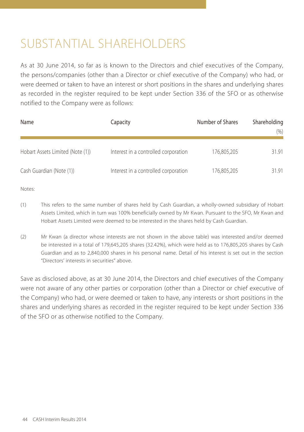## SUBSTANTIAL SHARFHOLDERS

As at 30 June 2014, so far as is known to the Directors and chief executives of the Company, the persons/companies (other than a Director or chief executive of the Company) who had, or were deemed or taken to have an interest or short positions in the shares and underlying shares as recorded in the register required to be kept under Section 336 of the SFO or as otherwise notified to the Company were as follows:

| Name                             | Capacity                             | Number of Shares | Shareholding<br>(% ) |
|----------------------------------|--------------------------------------|------------------|----------------------|
| Hobart Assets Limited (Note (1)) | Interest in a controlled corporation | 176.805.205      | 31.91                |
| Cash Guardian (Note (1))         | Interest in a controlled corporation | 176,805,205      | 31.91                |

Notes:

- (1) This refers to the same number of shares held by Cash Guardian, a wholly-owned subsidiary of Hobart Assets Limited, which in turn was 100% beneficially owned by Mr Kwan. Pursuant to the SFO, Mr Kwan and Hobart Assets Limited were deemed to be interested in the shares held by Cash Guardian.
- (2) Mr Kwan (a director whose interests are not shown in the above table) was interested and/or deemed be interested in a total of 179,645,205 shares (32.42%), which were held as to 176,805,205 shares by Cash Guardian and as to 2,840,000 shares in his personal name. Detail of his interest is set out in the section "Directors' interests in securities" above.

Save as disclosed above, as at 30 June 2014, the Directors and chief executives of the Company were not aware of any other parties or corporation (other than a Director or chief executive of the Company) who had, or were deemed or taken to have, any interests or short positions in the shares and underlying shares as recorded in the register required to be kept under Section 336 of the SFO or as otherwise notified to the Company.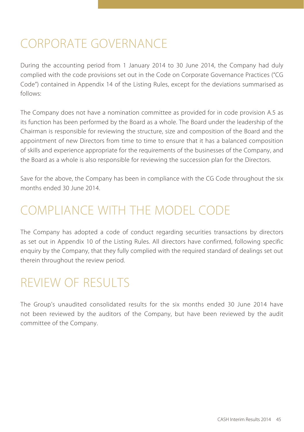## CORPORATE GOVERNANCE

During the accounting period from 1 January 2014 to 30 June 2014, the Company had duly complied with the code provisions set out in the Code on Corporate Governance Practices ("CG Code") contained in Appendix 14 of the Listing Rules, except for the deviations summarised as follows:

The Company does not have a nomination committee as provided for in code provision A.5 as its function has been performed by the Board as a whole. The Board under the leadership of the Chairman is responsible for reviewing the structure, size and composition of the Board and the appointment of new Directors from time to time to ensure that it has a balanced composition of skills and experience appropriate for the requirements of the businesses of the Company, and the Board as a whole is also responsible for reviewing the succession plan for the Directors.

Save for the above, the Company has been in compliance with the CG Code throughout the six months ended 30 June 2014.

## COMPLIANCE WITH THE MODEL CODE

The Company has adopted a code of conduct regarding securities transactions by directors as set out in Appendix 10 of the Listing Rules. All directors have confirmed, following specific enquiry by the Company, that they fully complied with the required standard of dealings set out therein throughout the review period.

## REVIEW OF RESULTS

The Group's unaudited consolidated results for the six months ended 30 June 2014 have not been reviewed by the auditors of the Company, but have been reviewed by the audit committee of the Company.